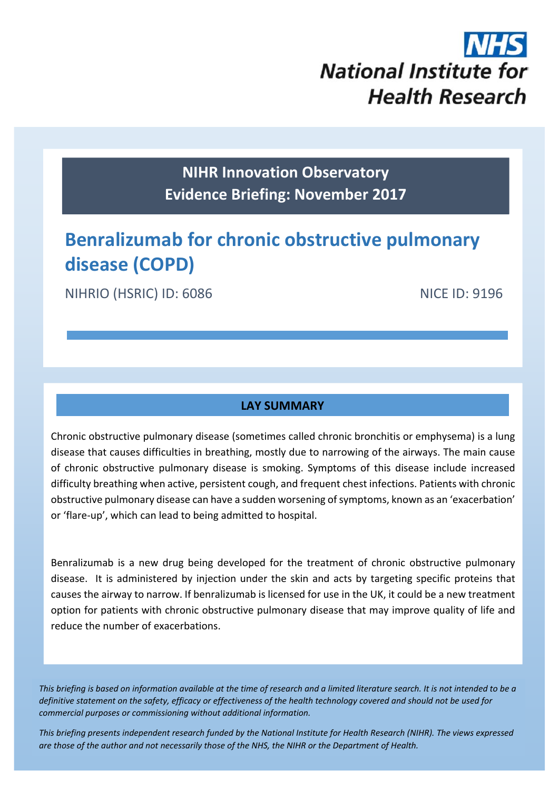# **National Institute for Health Research**

## **NIHR Innovation Observatory Evidence Briefing: November 2017**

# **Benralizumab for chronic obstructive pulmonary disease (COPD)**

NIHRIO (HSRIC) ID: 6086 NICE ID: 9196

#### **LAY SUMMARY**

Chronic obstructive pulmonary disease (sometimes called chronic bronchitis or emphysema) is a lung disease that causes difficulties in breathing, mostly due to narrowing of the airways. The main cause of chronic obstructive pulmonary disease is smoking. Symptoms of this disease include increased difficulty breathing when active, persistent cough, and frequent chest infections. Patients with chronic obstructive pulmonary disease can have a sudden worsening ofsymptoms, known as an 'exacerbation' or 'flare‐up', which can lead to being admitted to hospital.

Benralizumab is a new drug being developed for the treatment of chronic obstructive pulmonary disease. It is administered by injection under the skin and acts by targeting specific proteins that causes the airway to narrow. If benralizumab is licensed for use in the UK, it could be a new treatment option for patients with chronic obstructive pulmonary disease that may improve quality of life and reduce the number of exacerbations.

This briefing is based on information available at the time of research and a limited literature search. It is not intended to be a definitive statement on the safety, efficacy or effectiveness of the health technology covered and should not be used for *commercial purposes or commissioning without additional information.*

1 *This briefing presents independent research funded by the National Institute for Health Research (NIHR). The views expressed* are those of the author and not necessarily those of the NHS, the NIHR or the Department of Health.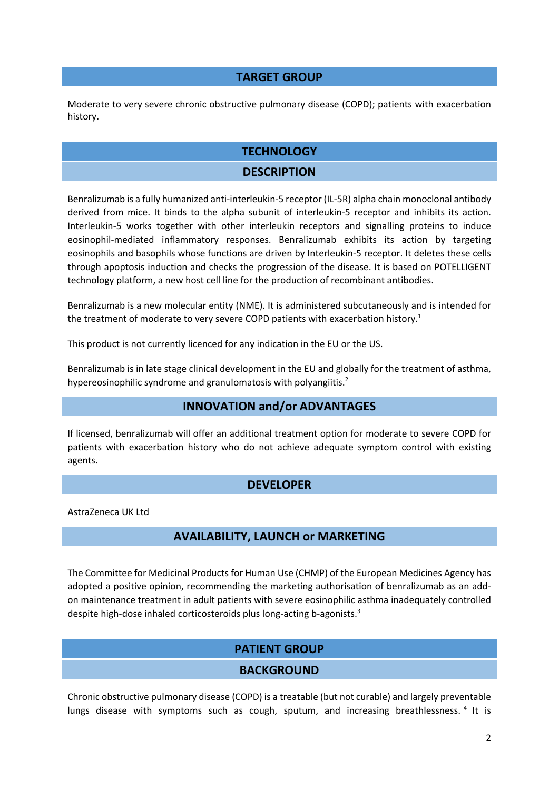#### **TARGET GROUP**

Moderate to very severe chronic obstructive pulmonary disease (COPD); patients with exacerbation history.

#### **TECHNOLOGY**

#### **DESCRIPTION**

Benralizumab is a fully humanized anti‐interleukin‐5 receptor (IL‐5R) alpha chain monoclonal antibody derived from mice. It binds to the alpha subunit of interleukin‐5 receptor and inhibits its action. Interleukin‐5 works together with other interleukin receptors and signalling proteins to induce eosinophil‐mediated inflammatory responses. Benralizumab exhibits its action by targeting eosinophils and basophils whose functions are driven by Interleukin‐5 receptor. It deletes these cells through apoptosis induction and checks the progression of the disease. It is based on POTELLIGENT technology platform, a new host cell line for the production of recombinant antibodies.

Benralizumab is a new molecular entity (NME). It is administered subcutaneously and is intended for the treatment of moderate to very severe COPD patients with exacerbation history.<sup>1</sup>

This product is not currently licenced for any indication in the EU or the US.

Benralizumab is in late stage clinical development in the EU and globally for the treatment of asthma, hypereosinophilic syndrome and granulomatosis with polyangiitis.<sup>2</sup>

#### **INNOVATION and/or ADVANTAGES**

If licensed, benralizumab will offer an additional treatment option for moderate to severe COPD for patients with exacerbation history who do not achieve adequate symptom control with existing agents.

#### **DEVELOPER**

AstraZeneca UK Ltd

#### **AVAILABILITY, LAUNCH or MARKETING**

The Committee for Medicinal Products for Human Use (CHMP) of the European Medicines Agency has adopted a positive opinion, recommending the marketing authorisation of benralizumab as an add‐ on maintenance treatment in adult patients with severe eosinophilic asthma inadequately controlled despite high-dose inhaled corticosteroids plus long-acting b-agonists.<sup>3</sup>

#### **PATIENT GROUP**

#### **BACKGROUND**

Chronic obstructive pulmonary disease (COPD) is a treatable (but not curable) and largely preventable lungs disease with symptoms such as cough, sputum, and increasing breathlessness.<sup>4</sup> It is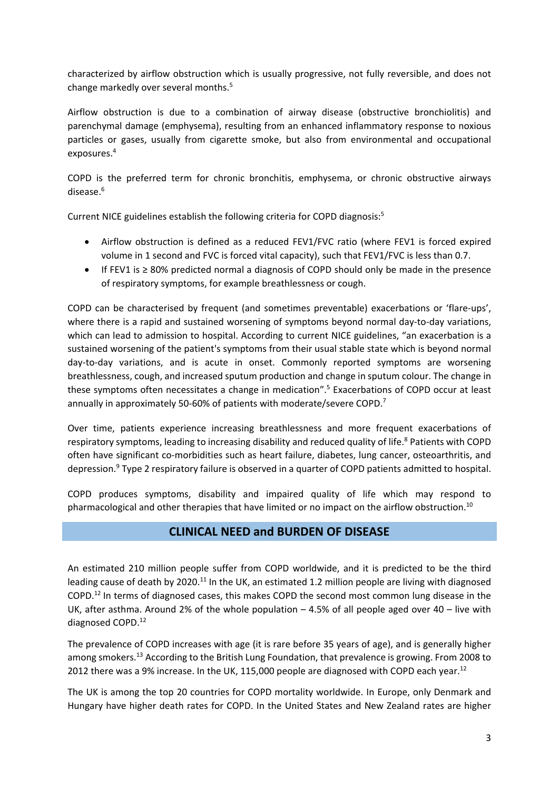characterized by airflow obstruction which is usually progressive, not fully reversible, and does not change markedly over several months.<sup>5</sup>

Airflow obstruction is due to a combination of airway disease (obstructive bronchiolitis) and parenchymal damage (emphysema), resulting from an enhanced inflammatory response to noxious particles or gases, usually from cigarette smoke, but also from environmental and occupational exposures.4

COPD is the preferred term for chronic bronchitis, emphysema, or chronic obstructive airways disease.<sup>6</sup>

Current NICE guidelines establish the following criteria for COPD diagnosis:5

- Airflow obstruction is defined as a reduced FEV1/FVC ratio (where FEV1 is forced expired volume in 1 second and FVC is forced vital capacity), such that FEV1/FVC is less than 0.7.
- If FEV1 is ≥ 80% predicted normal a diagnosis of COPD should only be made in the presence of respiratory symptoms, for example breathlessness or cough.

COPD can be characterised by frequent (and sometimes preventable) exacerbations or 'flare‐ups', where there is a rapid and sustained worsening of symptoms beyond normal day-to-day variations, which can lead to admission to hospital. According to current NICE guidelines, "an exacerbation is a sustained worsening of the patient's symptoms from their usual stable state which is beyond normal day‐to‐day variations, and is acute in onset. Commonly reported symptoms are worsening breathlessness, cough, and increased sputum production and change in sputum colour. The change in these symptoms often necessitates a change in medication".5 Exacerbations of COPD occur at least annually in approximately 50-60% of patients with moderate/severe COPD.<sup>7</sup>

Over time, patients experience increasing breathlessness and more frequent exacerbations of respiratory symptoms, leading to increasing disability and reduced quality of life.<sup>8</sup> Patients with COPD often have significant co-morbidities such as heart failure, diabetes, lung cancer, osteoarthritis, and depression.9 Type 2 respiratory failure is observed in a quarter of COPD patients admitted to hospital.

COPD produces symptoms, disability and impaired quality of life which may respond to pharmacological and other therapies that have limited or no impact on the airflow obstruction.<sup>10</sup>

#### **CLINICAL NEED and BURDEN OF DISEASE**

An estimated 210 million people suffer from COPD worldwide, and it is predicted to be the third leading cause of death by 2020.<sup>11</sup> In the UK, an estimated 1.2 million people are living with diagnosed COPD.12 In terms of diagnosed cases, this makes COPD the second most common lung disease in the UK, after asthma. Around 2% of the whole population  $-4.5%$  of all people aged over  $40 -$  live with diagnosed COPD.12

The prevalence of COPD increases with age (it is rare before 35 years of age), and is generally higher among smokers.<sup>13</sup> According to the British Lung Foundation, that prevalence is growing. From 2008 to 2012 there was a 9% increase. In the UK, 115,000 people are diagnosed with COPD each year.<sup>12</sup>

The UK is among the top 20 countries for COPD mortality worldwide. In Europe, only Denmark and Hungary have higher death rates for COPD. In the United States and New Zealand rates are higher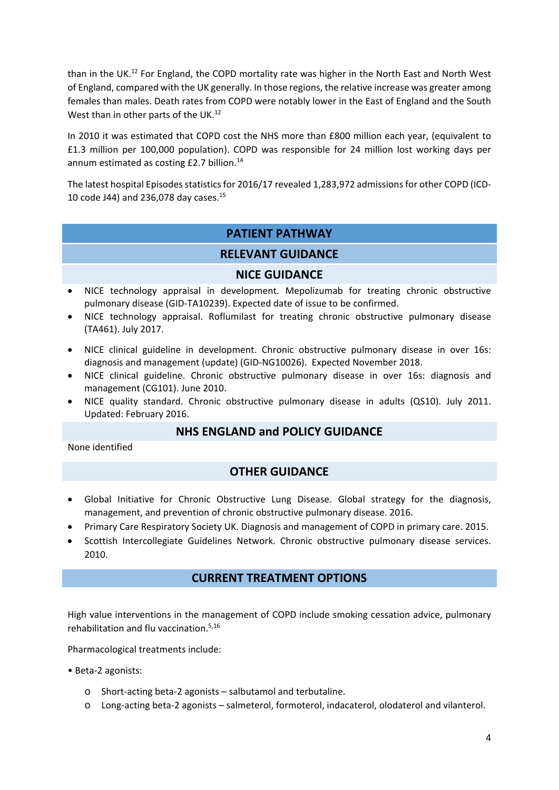than in the UK.12 For England, the COPD mortality rate was higher in the North East and North West of England, compared with the UK generally. In those regions, the relative increase was greater among females than males. Death rates from COPD were notably lower in the East of England and the South West than in other parts of the UK.<sup>12</sup>

In 2010 it was estimated that COPD cost the NHS more than £800 million each year, (equivalent to £1.3 million per 100,000 population). COPD was responsible for 24 million lost working days per annum estimated as costing £2.7 billion.<sup>14</sup>

The latest hospital Episodes statistics for 2016/17 revealed 1,283,972 admissions for other COPD (ICD-10 code J44) and 236,078 day cases.15

#### **PATIENT PATHWAY**

#### **RELEVANT GUIDANCE**

#### **NICE GUIDANCE**

- NICE technology appraisal in development. Mepolizumab for treating chronic obstructive pulmonary disease (GID‐TA10239). Expected date of issue to be confirmed.
- NICE technology appraisal. Roflumilast for treating chronic obstructive pulmonary disease (TA461). July 2017.
- NICE clinical guideline in development. Chronic obstructive pulmonary disease in over 16s: diagnosis and management (update) (GID‐NG10026). Expected November 2018.
- NICE clinical guideline. Chronic obstructive pulmonary disease in over 16s: diagnosis and management (CG101). June 2010.
- NICE quality standard. Chronic obstructive pulmonary disease in adults (QS10). July 2011. Updated: February 2016.

#### **NHS ENGLAND and POLICY GUIDANCE**

None identified

#### **OTHER GUIDANCE**

- Global Initiative for Chronic Obstructive Lung Disease. Global strategy for the diagnosis, management, and prevention of chronic obstructive pulmonary disease. 2016.
- Primary Care Respiratory Society UK. Diagnosis and management of COPD in primary care. 2015.
- Scottish Intercollegiate Guidelines Network. Chronic obstructive pulmonary disease services. 2010.

#### **CURRENT TREATMENT OPTIONS**

High value interventions in the management of COPD include smoking cessation advice, pulmonary rehabilitation and flu vaccination.5,16

Pharmacological treatments include:

• Beta‐2 agonists:

- o Short‐acting beta‐2 agonists salbutamol and terbutaline.
- o Long‐acting beta‐2 agonists salmeterol, formoterol, indacaterol, olodaterol and vilanterol.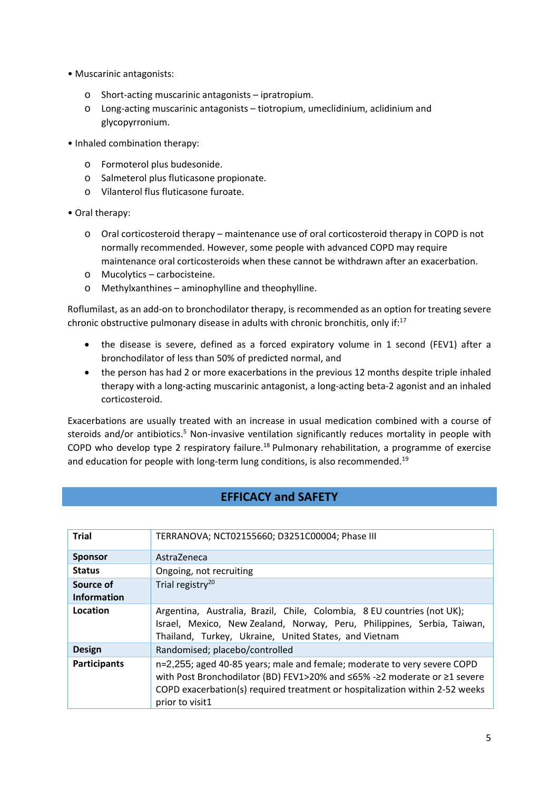- Muscarinic antagonists:
	- o Short‐acting muscarinic antagonists ipratropium.
	- o Long‐acting muscarinic antagonists tiotropium, umeclidinium, aclidinium and glycopyrronium.
- Inhaled combination therapy:
	- o Formoterol plus budesonide.
	- o Salmeterol plus fluticasone propionate.
	- o Vilanterol flus fluticasone furoate.
- Oral therapy:
	- o Oral corticosteroid therapy maintenance use of oral corticosteroid therapy in COPD is not normally recommended. However, some people with advanced COPD may require maintenance oral corticosteroids when these cannot be withdrawn after an exacerbation.
	- o Mucolytics carbocisteine.
	- o Methylxanthines aminophylline and theophylline.

Roflumilast, as an add‐on to bronchodilator therapy, is recommended as an option for treating severe chronic obstructive pulmonary disease in adults with chronic bronchitis, only if: $17$ 

- the disease is severe, defined as a forced expiratory volume in 1 second (FEV1) after a bronchodilator of less than 50% of predicted normal, and
- the person has had 2 or more exacerbations in the previous 12 months despite triple inhaled therapy with a long‐acting muscarinic antagonist, a long‐acting beta‐2 agonist and an inhaled corticosteroid.

Exacerbations are usually treated with an increase in usual medication combined with a course of steroids and/or antibiotics.<sup>5</sup> Non-invasive ventilation significantly reduces mortality in people with COPD who develop type 2 respiratory failure.<sup>18</sup> Pulmonary rehabilitation, a programme of exercise and education for people with long-term lung conditions, is also recommended.<sup>19</sup>

#### **EFFICACY and SAFETY**

| <b>Trial</b>                    | TERRANOVA; NCT02155660; D3251C00004; Phase III                                                                                                                                                                                                           |  |  |  |  |
|---------------------------------|----------------------------------------------------------------------------------------------------------------------------------------------------------------------------------------------------------------------------------------------------------|--|--|--|--|
| <b>Sponsor</b>                  | AstraZeneca                                                                                                                                                                                                                                              |  |  |  |  |
| <b>Status</b>                   | Ongoing, not recruiting                                                                                                                                                                                                                                  |  |  |  |  |
| Source of<br><b>Information</b> | Trial registry <sup>20</sup>                                                                                                                                                                                                                             |  |  |  |  |
| Location                        | Argentina, Australia, Brazil, Chile, Colombia, 8 EU countries (not UK);<br>Israel, Mexico, New Zealand, Norway, Peru, Philippines, Serbia, Taiwan,<br>Thailand, Turkey, Ukraine, United States, and Vietnam                                              |  |  |  |  |
| <b>Design</b>                   | Randomised; placebo/controlled                                                                                                                                                                                                                           |  |  |  |  |
| <b>Participants</b>             | n=2,255; aged 40-85 years; male and female; moderate to very severe COPD<br>with Post Bronchodilator (BD) FEV1>20% and ≤65% -≥2 moderate or ≥1 severe<br>COPD exacerbation(s) required treatment or hospitalization within 2-52 weeks<br>prior to visit1 |  |  |  |  |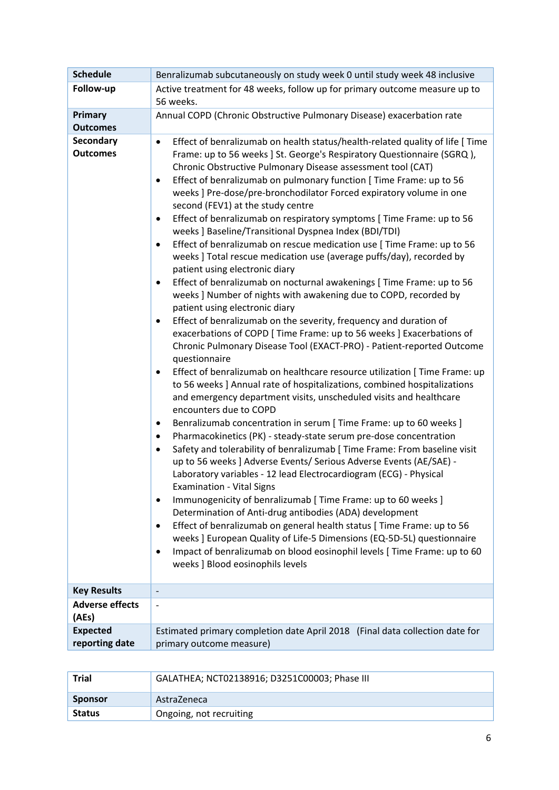| <b>Schedule</b>                     | Benralizumab subcutaneously on study week 0 until study week 48 inclusive                                                                                                                                                                                                                                                                                                                                                                                                                                                                                                                                                                                                                                                                                                                                                                                                                                                                                                                                                                                                                                                                                                                                                                                                                                                                                                                                                                                                                                                                                                                                                                                                                                                                                                                                                                                                                                                                                                                                                                                                                                                                                                                                                                                                                                                                                                                        |  |  |  |
|-------------------------------------|--------------------------------------------------------------------------------------------------------------------------------------------------------------------------------------------------------------------------------------------------------------------------------------------------------------------------------------------------------------------------------------------------------------------------------------------------------------------------------------------------------------------------------------------------------------------------------------------------------------------------------------------------------------------------------------------------------------------------------------------------------------------------------------------------------------------------------------------------------------------------------------------------------------------------------------------------------------------------------------------------------------------------------------------------------------------------------------------------------------------------------------------------------------------------------------------------------------------------------------------------------------------------------------------------------------------------------------------------------------------------------------------------------------------------------------------------------------------------------------------------------------------------------------------------------------------------------------------------------------------------------------------------------------------------------------------------------------------------------------------------------------------------------------------------------------------------------------------------------------------------------------------------------------------------------------------------------------------------------------------------------------------------------------------------------------------------------------------------------------------------------------------------------------------------------------------------------------------------------------------------------------------------------------------------------------------------------------------------------------------------------------------------|--|--|--|
| Follow-up                           | Active treatment for 48 weeks, follow up for primary outcome measure up to<br>56 weeks.                                                                                                                                                                                                                                                                                                                                                                                                                                                                                                                                                                                                                                                                                                                                                                                                                                                                                                                                                                                                                                                                                                                                                                                                                                                                                                                                                                                                                                                                                                                                                                                                                                                                                                                                                                                                                                                                                                                                                                                                                                                                                                                                                                                                                                                                                                          |  |  |  |
| Primary<br><b>Outcomes</b>          | Annual COPD (Chronic Obstructive Pulmonary Disease) exacerbation rate                                                                                                                                                                                                                                                                                                                                                                                                                                                                                                                                                                                                                                                                                                                                                                                                                                                                                                                                                                                                                                                                                                                                                                                                                                                                                                                                                                                                                                                                                                                                                                                                                                                                                                                                                                                                                                                                                                                                                                                                                                                                                                                                                                                                                                                                                                                            |  |  |  |
| <b>Secondary</b><br><b>Outcomes</b> | Effect of benralizumab on health status/health-related quality of life [ Time<br>$\bullet$<br>Frame: up to 56 weeks ] St. George's Respiratory Questionnaire (SGRQ),<br>Chronic Obstructive Pulmonary Disease assessment tool (CAT)<br>Effect of benralizumab on pulmonary function [ Time Frame: up to 56<br>$\bullet$<br>weeks ] Pre-dose/pre-bronchodilator Forced expiratory volume in one<br>second (FEV1) at the study centre<br>Effect of benralizumab on respiratory symptoms [ Time Frame: up to 56<br>$\bullet$<br>weeks ] Baseline/Transitional Dyspnea Index (BDI/TDI)<br>Effect of benralizumab on rescue medication use [ Time Frame: up to 56<br>$\bullet$<br>weeks ] Total rescue medication use (average puffs/day), recorded by<br>patient using electronic diary<br>Effect of benralizumab on nocturnal awakenings [ Time Frame: up to 56<br>$\bullet$<br>weeks ] Number of nights with awakening due to COPD, recorded by<br>patient using electronic diary<br>Effect of benralizumab on the severity, frequency and duration of<br>$\bullet$<br>exacerbations of COPD [ Time Frame: up to 56 weeks ] Exacerbations of<br>Chronic Pulmonary Disease Tool (EXACT-PRO) - Patient-reported Outcome<br>questionnaire<br>Effect of benralizumab on healthcare resource utilization [ Time Frame: up<br>$\bullet$<br>to 56 weeks ] Annual rate of hospitalizations, combined hospitalizations<br>and emergency department visits, unscheduled visits and healthcare<br>encounters due to COPD<br>Benralizumab concentration in serum [ Time Frame: up to 60 weeks ]<br>$\bullet$<br>Pharmacokinetics (PK) - steady-state serum pre-dose concentration<br>$\bullet$<br>Safety and tolerability of benralizumab [ Time Frame: From baseline visit<br>$\bullet$<br>up to 56 weeks ] Adverse Events/ Serious Adverse Events (AE/SAE) -<br>Laboratory variables - 12 lead Electrocardiogram (ECG) - Physical<br><b>Examination - Vital Signs</b><br>Immunogenicity of benralizumab [ Time Frame: up to 60 weeks ]<br>$\bullet$<br>Determination of Anti-drug antibodies (ADA) development<br>Effect of benralizumab on general health status [ Time Frame: up to 56<br>$\bullet$<br>weeks ] European Quality of Life-5 Dimensions (EQ-5D-5L) questionnaire<br>Impact of benralizumab on blood eosinophil levels [ Time Frame: up to 60<br>$\bullet$<br>weeks ] Blood eosinophils levels |  |  |  |
| <b>Key Results</b>                  | $\overline{\phantom{a}}$                                                                                                                                                                                                                                                                                                                                                                                                                                                                                                                                                                                                                                                                                                                                                                                                                                                                                                                                                                                                                                                                                                                                                                                                                                                                                                                                                                                                                                                                                                                                                                                                                                                                                                                                                                                                                                                                                                                                                                                                                                                                                                                                                                                                                                                                                                                                                                         |  |  |  |
| <b>Adverse effects</b><br>(AEs)     | $\overline{\phantom{a}}$                                                                                                                                                                                                                                                                                                                                                                                                                                                                                                                                                                                                                                                                                                                                                                                                                                                                                                                                                                                                                                                                                                                                                                                                                                                                                                                                                                                                                                                                                                                                                                                                                                                                                                                                                                                                                                                                                                                                                                                                                                                                                                                                                                                                                                                                                                                                                                         |  |  |  |
| <b>Expected</b><br>reporting date   | Estimated primary completion date April 2018 (Final data collection date for<br>primary outcome measure)                                                                                                                                                                                                                                                                                                                                                                                                                                                                                                                                                                                                                                                                                                                                                                                                                                                                                                                                                                                                                                                                                                                                                                                                                                                                                                                                                                                                                                                                                                                                                                                                                                                                                                                                                                                                                                                                                                                                                                                                                                                                                                                                                                                                                                                                                         |  |  |  |

| <b>Trial</b>   | GALATHEA; NCT02138916; D3251C00003; Phase III |  |
|----------------|-----------------------------------------------|--|
| <b>Sponsor</b> | AstraZeneca                                   |  |
| <b>Status</b>  | Ongoing, not recruiting                       |  |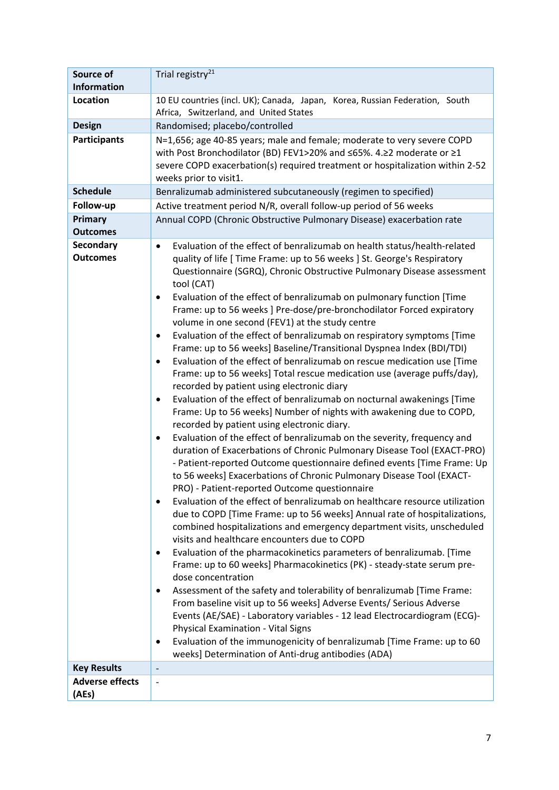| <b>Source of</b>                    | Trial registry <sup>21</sup>                                                                                                                                                                                                                                                                                                                                                                                                                                                                                                                                                                                                                                                                                                                                                                                                                                                                                                                                                                                                                                                                                                                                                                                                                                                                                                                                                                                                                                                                                                                                                                                                                                                                                                                                                                                                                                                                                                                                                                                                                                                                                                                                                                                                                                                                                                          |  |  |  |  |  |
|-------------------------------------|---------------------------------------------------------------------------------------------------------------------------------------------------------------------------------------------------------------------------------------------------------------------------------------------------------------------------------------------------------------------------------------------------------------------------------------------------------------------------------------------------------------------------------------------------------------------------------------------------------------------------------------------------------------------------------------------------------------------------------------------------------------------------------------------------------------------------------------------------------------------------------------------------------------------------------------------------------------------------------------------------------------------------------------------------------------------------------------------------------------------------------------------------------------------------------------------------------------------------------------------------------------------------------------------------------------------------------------------------------------------------------------------------------------------------------------------------------------------------------------------------------------------------------------------------------------------------------------------------------------------------------------------------------------------------------------------------------------------------------------------------------------------------------------------------------------------------------------------------------------------------------------------------------------------------------------------------------------------------------------------------------------------------------------------------------------------------------------------------------------------------------------------------------------------------------------------------------------------------------------------------------------------------------------------------------------------------------------|--|--|--|--|--|
| <b>Information</b>                  |                                                                                                                                                                                                                                                                                                                                                                                                                                                                                                                                                                                                                                                                                                                                                                                                                                                                                                                                                                                                                                                                                                                                                                                                                                                                                                                                                                                                                                                                                                                                                                                                                                                                                                                                                                                                                                                                                                                                                                                                                                                                                                                                                                                                                                                                                                                                       |  |  |  |  |  |
| Location                            | 10 EU countries (incl. UK); Canada, Japan, Korea, Russian Federation, South<br>Africa, Switzerland, and United States                                                                                                                                                                                                                                                                                                                                                                                                                                                                                                                                                                                                                                                                                                                                                                                                                                                                                                                                                                                                                                                                                                                                                                                                                                                                                                                                                                                                                                                                                                                                                                                                                                                                                                                                                                                                                                                                                                                                                                                                                                                                                                                                                                                                                 |  |  |  |  |  |
| <b>Design</b>                       | Randomised; placebo/controlled                                                                                                                                                                                                                                                                                                                                                                                                                                                                                                                                                                                                                                                                                                                                                                                                                                                                                                                                                                                                                                                                                                                                                                                                                                                                                                                                                                                                                                                                                                                                                                                                                                                                                                                                                                                                                                                                                                                                                                                                                                                                                                                                                                                                                                                                                                        |  |  |  |  |  |
| <b>Participants</b>                 | N=1,656; age 40-85 years; male and female; moderate to very severe COPD<br>with Post Bronchodilator (BD) FEV1>20% and ≤65%. 4.≥2 moderate or ≥1<br>severe COPD exacerbation(s) required treatment or hospitalization within 2-52<br>weeks prior to visit1.                                                                                                                                                                                                                                                                                                                                                                                                                                                                                                                                                                                                                                                                                                                                                                                                                                                                                                                                                                                                                                                                                                                                                                                                                                                                                                                                                                                                                                                                                                                                                                                                                                                                                                                                                                                                                                                                                                                                                                                                                                                                            |  |  |  |  |  |
| <b>Schedule</b>                     | Benralizumab administered subcutaneously (regimen to specified)                                                                                                                                                                                                                                                                                                                                                                                                                                                                                                                                                                                                                                                                                                                                                                                                                                                                                                                                                                                                                                                                                                                                                                                                                                                                                                                                                                                                                                                                                                                                                                                                                                                                                                                                                                                                                                                                                                                                                                                                                                                                                                                                                                                                                                                                       |  |  |  |  |  |
| Follow-up                           | Active treatment period N/R, overall follow-up period of 56 weeks                                                                                                                                                                                                                                                                                                                                                                                                                                                                                                                                                                                                                                                                                                                                                                                                                                                                                                                                                                                                                                                                                                                                                                                                                                                                                                                                                                                                                                                                                                                                                                                                                                                                                                                                                                                                                                                                                                                                                                                                                                                                                                                                                                                                                                                                     |  |  |  |  |  |
| Primary                             | Annual COPD (Chronic Obstructive Pulmonary Disease) exacerbation rate                                                                                                                                                                                                                                                                                                                                                                                                                                                                                                                                                                                                                                                                                                                                                                                                                                                                                                                                                                                                                                                                                                                                                                                                                                                                                                                                                                                                                                                                                                                                                                                                                                                                                                                                                                                                                                                                                                                                                                                                                                                                                                                                                                                                                                                                 |  |  |  |  |  |
| <b>Outcomes</b>                     |                                                                                                                                                                                                                                                                                                                                                                                                                                                                                                                                                                                                                                                                                                                                                                                                                                                                                                                                                                                                                                                                                                                                                                                                                                                                                                                                                                                                                                                                                                                                                                                                                                                                                                                                                                                                                                                                                                                                                                                                                                                                                                                                                                                                                                                                                                                                       |  |  |  |  |  |
| <b>Secondary</b><br><b>Outcomes</b> | Evaluation of the effect of benralizumab on health status/health-related<br>$\bullet$<br>quality of life [ Time Frame: up to 56 weeks ] St. George's Respiratory<br>Questionnaire (SGRQ), Chronic Obstructive Pulmonary Disease assessment<br>tool (CAT)<br>Evaluation of the effect of benralizumab on pulmonary function [Time<br>٠<br>Frame: up to 56 weeks ] Pre-dose/pre-bronchodilator Forced expiratory<br>volume in one second (FEV1) at the study centre<br>Evaluation of the effect of benralizumab on respiratory symptoms [Time<br>$\bullet$<br>Frame: up to 56 weeks] Baseline/Transitional Dyspnea Index (BDI/TDI)<br>Evaluation of the effect of benralizumab on rescue medication use [Time<br>$\bullet$<br>Frame: up to 56 weeks] Total rescue medication use (average puffs/day),<br>recorded by patient using electronic diary<br>Evaluation of the effect of benralizumab on nocturnal awakenings [Time<br>$\bullet$<br>Frame: Up to 56 weeks] Number of nights with awakening due to COPD,<br>recorded by patient using electronic diary.<br>Evaluation of the effect of benralizumab on the severity, frequency and<br>$\bullet$<br>duration of Exacerbations of Chronic Pulmonary Disease Tool (EXACT-PRO)<br>- Patient-reported Outcome questionnaire defined events [Time Frame: Up<br>to 56 weeks] Exacerbations of Chronic Pulmonary Disease Tool (EXACT-<br>PRO) - Patient-reported Outcome questionnaire<br>Evaluation of the effect of benralizumab on healthcare resource utilization<br>$\bullet$<br>due to COPD [Time Frame: up to 56 weeks] Annual rate of hospitalizations,<br>combined hospitalizations and emergency department visits, unscheduled<br>visits and healthcare encounters due to COPD<br>Evaluation of the pharmacokinetics parameters of benralizumab. [Time<br>٠<br>Frame: up to 60 weeks] Pharmacokinetics (PK) - steady-state serum pre-<br>dose concentration<br>Assessment of the safety and tolerability of benralizumab [Time Frame:<br>From baseline visit up to 56 weeks] Adverse Events/ Serious Adverse<br>Events (AE/SAE) - Laboratory variables - 12 lead Electrocardiogram (ECG)-<br><b>Physical Examination - Vital Signs</b><br>Evaluation of the immunogenicity of benralizumab [Time Frame: up to 60<br>٠<br>weeks] Determination of Anti-drug antibodies (ADA) |  |  |  |  |  |
| <b>Key Results</b>                  |                                                                                                                                                                                                                                                                                                                                                                                                                                                                                                                                                                                                                                                                                                                                                                                                                                                                                                                                                                                                                                                                                                                                                                                                                                                                                                                                                                                                                                                                                                                                                                                                                                                                                                                                                                                                                                                                                                                                                                                                                                                                                                                                                                                                                                                                                                                                       |  |  |  |  |  |
| <b>Adverse effects</b><br>(AEs)     | $\overline{\phantom{a}}$                                                                                                                                                                                                                                                                                                                                                                                                                                                                                                                                                                                                                                                                                                                                                                                                                                                                                                                                                                                                                                                                                                                                                                                                                                                                                                                                                                                                                                                                                                                                                                                                                                                                                                                                                                                                                                                                                                                                                                                                                                                                                                                                                                                                                                                                                                              |  |  |  |  |  |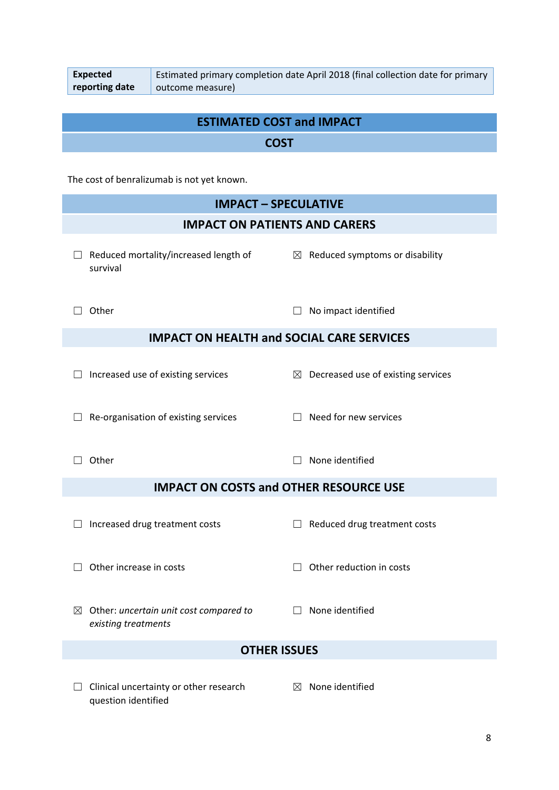| Expected       | Estimated primary completion date April 2018 (final collection date for primary |  |
|----------------|---------------------------------------------------------------------------------|--|
| reporting date | outcome measure)                                                                |  |

### **ESTIMATED COST and IMPACT COST**

The cost of benralizumab is not yet known.

|                                                  | <b>IMPACT - SPECULATIVE</b>                                               |   |                                                |  |  |  |  |
|--------------------------------------------------|---------------------------------------------------------------------------|---|------------------------------------------------|--|--|--|--|
| <b>IMPACT ON PATIENTS AND CARERS</b>             |                                                                           |   |                                                |  |  |  |  |
|                                                  | Reduced mortality/increased length of<br>survival                         |   | $\boxtimes$ Reduced symptoms or disability     |  |  |  |  |
|                                                  | Other                                                                     |   | No impact identified                           |  |  |  |  |
| <b>IMPACT ON HEALTH and SOCIAL CARE SERVICES</b> |                                                                           |   |                                                |  |  |  |  |
|                                                  | Increased use of existing services                                        |   | $\boxtimes$ Decreased use of existing services |  |  |  |  |
|                                                  | Re-organisation of existing services                                      |   | Need for new services                          |  |  |  |  |
|                                                  | Other                                                                     |   | None identified                                |  |  |  |  |
|                                                  | <b>IMPACT ON COSTS and OTHER RESOURCE USE</b>                             |   |                                                |  |  |  |  |
|                                                  | Increased drug treatment costs                                            | ш | Reduced drug treatment costs                   |  |  |  |  |
|                                                  | Other increase in costs                                                   |   | Other reduction in costs                       |  |  |  |  |
|                                                  | $\boxtimes$ Other: uncertain unit cost compared to<br>existing treatments |   | $\Box$ None identified                         |  |  |  |  |
| <b>OTHER ISSUES</b>                              |                                                                           |   |                                                |  |  |  |  |
|                                                  | Clinical uncertainty or other research<br>question identified             | ⊠ | None identified                                |  |  |  |  |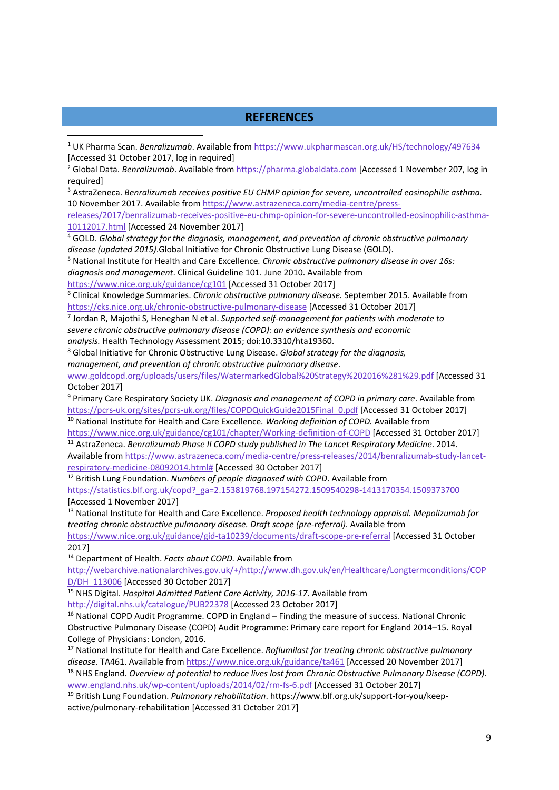#### **REFERENCES**

<sup>1</sup> UK Pharma Scan. *Benralizumab*. Available from https://www.ukpharmascan.org.uk/HS/technology/497634 [Accessed 31 October 2017, log in required]

<sup>2</sup> Global Data. *Benralizumab*. Available from https://pharma.globaldata.com [Accessed 1 November 207, log in required]

<sup>3</sup> AstraZeneca. *Benralizumab receives positive EU CHMP opinion for severe, uncontrolled eosinophilic asthma.* 10 November 2017. Available from https://www.astrazeneca.com/media-centre/press-

releases/2017/benralizumab‐receives‐positive‐eu‐chmp‐opinion‐for‐severe‐uncontrolled‐eosinophilic‐asthma‐ 10112017.html [Accessed 24 November 2017]

<sup>4</sup> GOLD. *Global strategy for the diagnosis, management, and prevention of chronic obstructive pulmonary disease (updated 2015)*.Global Initiative for Chronic Obstructive Lung Disease (GOLD).

<sup>5</sup> National Institute for Health and Care Excellence*. Chronic obstructive pulmonary disease in over 16s: diagnosis and management*. Clinical Guideline 101. June 2010. Available from

https://www.nice.org.uk/guidance/cg101 [Accessed 31 October 2017]

<sup>6</sup> Clinical Knowledge Summaries. *Chronic obstructive pulmonary disease.* September 2015. Available from https://cks.nice.org.uk/chronic‐obstructive‐pulmonary‐disease [Accessed 31 October 2017]

<sup>7</sup> Jordan R, Majothi S, Heneghan N et al. *Supported self‐management for patients with moderate to severe chronic obstructive pulmonary disease (COPD): an evidence synthesis and economic analysis.* Health Technology Assessment 2015; doi:10.3310/hta19360.

<sup>8</sup> Global Initiative for Chronic Obstructive Lung Disease. *Global strategy for the diagnosis, management, and prevention of chronic obstructive pulmonary disease*.

www.goldcopd.org/uploads/users/files/WatermarkedGlobal%20Strategy%202016%281%29.pdf [Accessed 31 October 2017]

<sup>9</sup> Primary Care Respiratory Society UK. *Diagnosis and management of COPD in primary care*. Available from https://pcrs-uk.org/sites/pcrs-uk.org/files/COPDQuickGuide2015Final 0.pdf [Accessed 31 October 2017] <sup>10</sup> National Institute for Health and Care Excellence*. Working definition of COPD.* Available from

https://www.nice.org.uk/guidance/cg101/chapter/Working-definition-of-COPD [Accessed 31 October 2017] <sup>11</sup> AstraZeneca. *Benralizumab Phase II COPD study published in The Lancet Respiratory Medicine*. 2014.

Available from https://www.astrazeneca.com/media‐centre/press‐releases/2014/benralizumab‐study‐lancet‐ respiratory‐medicine‐08092014.html# [Accessed 30 October 2017]

<sup>12</sup> British Lung Foundation. *Numbers of people diagnosed with COPD*. Available from

https://statistics.blf.org.uk/copd?\_ga=2.153819768.197154272.1509540298‐1413170354.1509373700 [Accessed 1 November 2017]

<sup>13</sup> National Institute for Health and Care Excellence. *Proposed health technology appraisal. Mepolizumab for treating chronic obstructive pulmonary disease. Draft scope (pre‐referral)*. Available from https://www.nice.org.uk/guidance/gid‐ta10239/documents/draft‐scope‐pre‐referral [Accessed 31 October

2017]

<sup>14</sup> Department of Health. *Facts about COPD.* Available from

http://webarchive.nationalarchives.gov.uk/+/http://www.dh.gov.uk/en/Healthcare/Longtermconditions/COP D/DH\_113006 [Accessed 30 October 2017]

<sup>15</sup> NHS Digital. *Hospital Admitted Patient Care Activity, 2016‐17*. Available from

http://digital.nhs.uk/catalogue/PUB22378 [Accessed 23 October 2017]

<sup>16</sup> National COPD Audit Programme. COPD in England – Finding the measure of success. National Chronic Obstructive Pulmonary Disease (COPD) Audit Programme: Primary care report for England 2014–15. Royal College of Physicians: London, 2016.

<sup>17</sup> National Institute for Health and Care Excellence. *Roflumilast for treating chronic obstructive pulmonary disease.* TA461. Available from https://www.nice.org.uk/guidance/ta461 [Accessed 20 November 2017] <sup>18</sup> NHS England. *Overview of potential to reduce lives lost from Chronic Obstructive Pulmonary Disease (COPD).* www.england.nhs.uk/wp‐content/uploads/2014/02/rm‐fs‐6.pdf [Accessed 31 October 2017]

<sup>19</sup> British Lung Foundation. *Pulmonary rehabilitation*. https://www.blf.org.uk/support‐for‐you/keep‐ active/pulmonary‐rehabilitation [Accessed 31 October 2017]